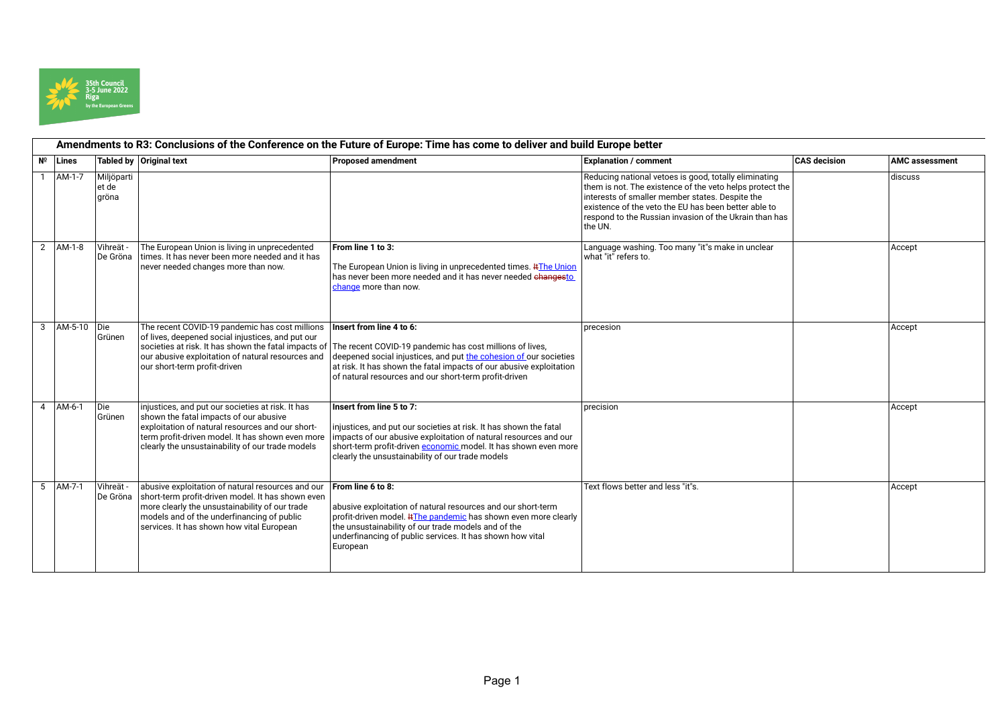

## **Amendments to R3: Conclusions of the Conference on the Future of Europe: Time has come to deliver and build Europe better № Lines Tabled by Original text Proposed amendment Explanation / comment CAS decision AMC assessment** 1 AM-1-7 Miljöparti et de gröna Reducing national vetoes is good, totally eliminating them is not. The existence of the veto helps protect the interests of smaller member states. Despite the  $\vert$ existence of the veto the EU has been better able to  $\vert$ respond to the Russian invasion of the Ukrain than has the UN. discuss 2 AM-1-8 Vihreät - De Gröna The European Union is living in unprecedented times. It has never been more needed and it has never needed changes more than now. **From line 1 to 3:** The European Union is living in unprecedented times. **#The Union** has never been more needed and it has never needed changesto change more than now. Language washing. Too many "it"s make in unclear what "it" refers to. Accept 3 AM-5-10 Die Grünen The recent COVID-19 pandemic has cost millions of lives, deepened social injustices, and put our societies at risk. It has shown the fatal impacts of our abusive exploitation of natural resources and our short-term profit-driven **Insert from line 4 to 6:** The recent COVID-19 pandemic has cost millions of lives, deepened social injustices, and put the cohesion of our societies at risk. It has shown the fatal impacts of our abusive exploitation of natural resources and our short-term profit-driven precesion and accept the contract of the contract of the contract of the contract of the contract of the contract of the contract of the contract of the contract of the contract of the contract of the contract of the contr 4 AM-6-1 Die Grünen injustices, and put our societies at risk. It has shown the fatal impacts of our abusive exploitation of natural resources and our shortterm profit-driven model. It has shown even more clearly the unsustainability of our trade models **Insert from line 5 to 7:** injustices, and put our societies at risk. It has shown the fatal impacts of our abusive exploitation of natural resources and our short-term profit-driven **economic** model. It has shown even more clearly the unsustainability of our trade models precision and accept the contract of the contract of the contract of the contract of the contract of the contract of the contract of the contract of the contract of the contract of the contract of the contract of the contr 5 AM-7-1 Vihreät - De Gröna abusive exploitation of natural resources and our short-term profit-driven model. It has shown even more clearly the unsustainability of our trade models and of the underfinancing of public services. It has shown how vital European **From line 6 to 8:** abusive exploitation of natural resources and our short-term profit-driven model. **ItThe pandemic** has shown even more clearly the unsustainability of our trade models and of the underfinancing of public services. It has shown how vital European Text flows better and less "it"s. Accept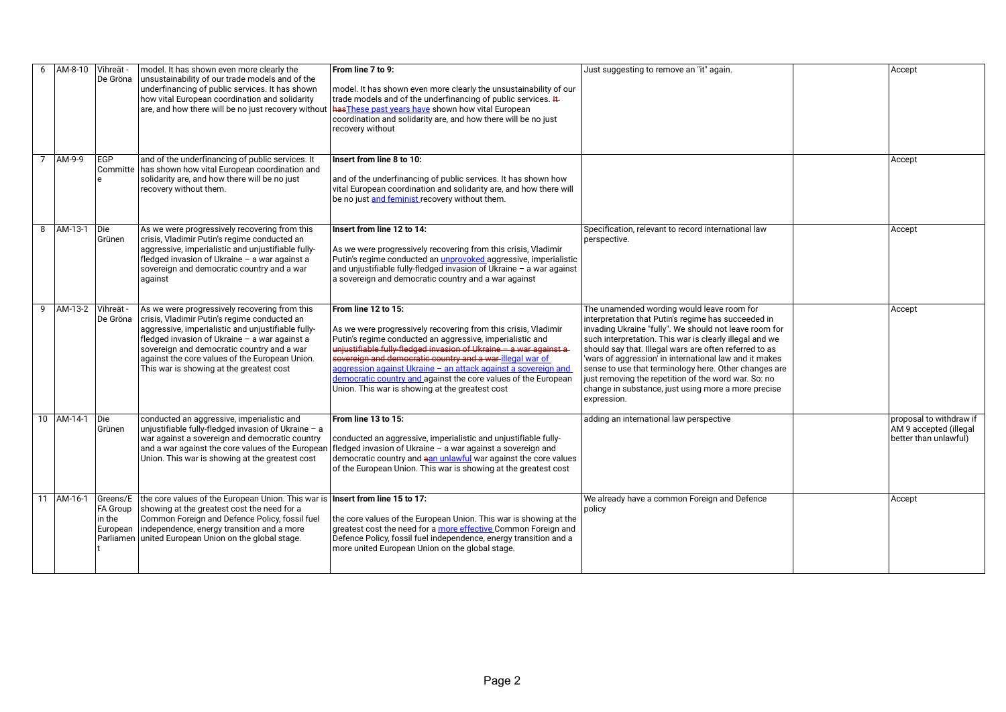| 6             | AM-8-10 Vihreät -<br>De Gröna                           | model. It has shown even more clearly the<br>unsustainability of our trade models and of the<br>underfinancing of public services. It has shown<br>how vital European coordination and solidarity<br>are, and how there will be no just recovery without                                                                                         | From line 7 to 9:<br>model. It has shown even more clearly the unsustainability of our<br>trade models and of the underfinancing of public services. It<br>has These past years have shown how vital European<br>coordination and solidarity are, and how there will be no just<br>recovery without                                                                                                                                                                          | Just suggesting to remove an "it" again.                                                                                                                                                                                                                                                                                                                                                                                                                                                                                          | Accept                                                                     |
|---------------|---------------------------------------------------------|--------------------------------------------------------------------------------------------------------------------------------------------------------------------------------------------------------------------------------------------------------------------------------------------------------------------------------------------------|------------------------------------------------------------------------------------------------------------------------------------------------------------------------------------------------------------------------------------------------------------------------------------------------------------------------------------------------------------------------------------------------------------------------------------------------------------------------------|-----------------------------------------------------------------------------------------------------------------------------------------------------------------------------------------------------------------------------------------------------------------------------------------------------------------------------------------------------------------------------------------------------------------------------------------------------------------------------------------------------------------------------------|----------------------------------------------------------------------------|
| AM-9-9        | <b>EGP</b><br>Committe<br>e                             | and of the underfinancing of public services. It<br>has shown how vital European coordination and<br>solidarity are, and how there will be no just<br>recovery without them.                                                                                                                                                                     | Insert from line 8 to 10:<br>and of the underfinancing of public services. It has shown how<br>vital European coordination and solidarity are, and how there will<br>be no just and feminist recovery without them.                                                                                                                                                                                                                                                          |                                                                                                                                                                                                                                                                                                                                                                                                                                                                                                                                   | Accept                                                                     |
| 8<br>AM-13-1  | $\overline{Die}$<br>Grünen                              | As we were progressively recovering from this<br>crisis, Vladimir Putin's regime conducted an<br>aggressive, imperialistic and unjustifiable fully-<br>fledged invasion of Ukraine - a war against a<br>sovereign and democratic country and a war<br>aqainst                                                                                    | Insert from line 12 to 14:<br>As we were progressively recovering from this crisis, Vladimir<br>Putin's regime conducted an <i>unprovoked</i> aggressive, imperialistic<br>and unjustifiable fully-fledged invasion of Ukraine - a war against<br>a sovereign and democratic country and a war against                                                                                                                                                                       | Specification, relevant to record international law<br>perspective.                                                                                                                                                                                                                                                                                                                                                                                                                                                               | Accept                                                                     |
| 9             | AM-13-2   Vihreät -<br>De Gröna                         | As we were progressively recovering from this<br>crisis, Vladimir Putin's regime conducted an<br>aggressive, imperialistic and unjustifiable fully-<br>fledged invasion of Ukraine - a war against a<br>sovereign and democratic country and a war<br>against the core values of the European Union.<br>This war is showing at the greatest cost | From line 12 to 15:<br>As we were progressively recovering from this crisis, Vladimir<br>Putin's regime conducted an aggressive, imperialistic and<br>unjustifiable fully-fledged invasion of Ukraine - a war against a-<br>sovereign and democratic country and a war-illegal war of<br>aggression against Ukraine - an attack against a sovereign and<br>democratic country and against the core values of the European<br>Union. This war is showing at the greatest cost | The unamended wording would leave room for<br>interpretation that Putin's regime has succeeded in<br>invading Ukraine "fully". We should not leave room for<br>such interpretation. This war is clearly illegal and we<br>should say that. Illegal wars are often referred to as<br>'wars of aggression' in international law and it makes<br>sense to use that terminology here. Other changes are<br>just removing the repetition of the word war. So: no<br>change in substance, just using more a more precise<br>expression. | Accept                                                                     |
| 10 AM-14-1    | Die<br>Grünen                                           | conducted an aggressive, imperialistic and<br>unjustifiable fully-fledged invasion of Ukraine - a<br>war against a sovereign and democratic country<br>and a war against the core values of the European<br>Union. This war is showing at the greatest cost                                                                                      | From line 13 to 15:<br>conducted an aggressive, imperialistic and unjustifiable fully-<br>fledged invasion of Ukraine - a war against a sovereign and<br>democratic country and aan unlawful war against the core values<br>of the European Union. This war is showing at the greatest cost                                                                                                                                                                                  | adding an international law perspective                                                                                                                                                                                                                                                                                                                                                                                                                                                                                           | proposal to withdraw if<br>AM 9 accepted (illegal<br>better than unlawful) |
| AM-16-1<br>11 | Greens/E<br>FA Group<br>in the<br>European<br>Parliamen | the core values of the European Union. This war is <b>Insert from line 15 to 17:</b><br>showing at the greatest cost the need for a<br>Common Foreign and Defence Policy, fossil fuel<br>independence, energy transition and a more<br>united European Union on the global stage.                                                                | the core values of the European Union. This war is showing at the<br>greatest cost the need for a more effective Common Foreign and<br>Defence Policy, fossil fuel independence, energy transition and a<br>more united European Union on the global stage.                                                                                                                                                                                                                  | We already have a common Foreign and Defence<br>policy                                                                                                                                                                                                                                                                                                                                                                                                                                                                            | Accept                                                                     |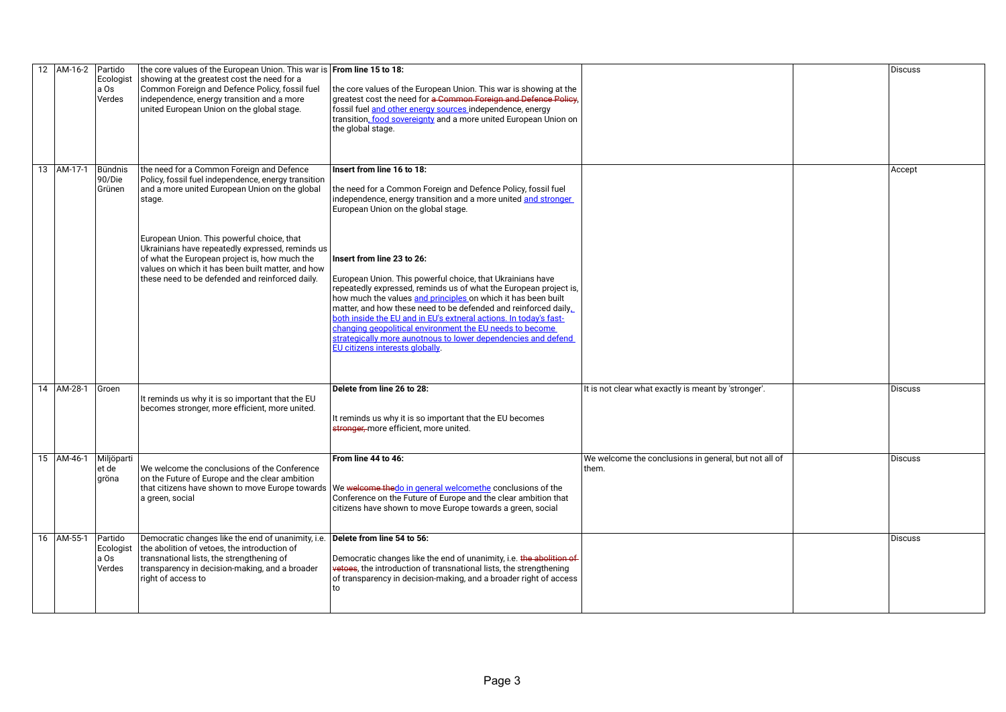|    | 12   AM-16-2   Partido |                                        | the core values of the European Union. This war is From line 15 to 18:                                                                                                                                                                                                                                                                                                                                                  |                                                                                                                                                                                                                                                                                                                                                                                                                                                                                                                                                                                                                                                                                                                                                |                                                                | Discuss |
|----|------------------------|----------------------------------------|-------------------------------------------------------------------------------------------------------------------------------------------------------------------------------------------------------------------------------------------------------------------------------------------------------------------------------------------------------------------------------------------------------------------------|------------------------------------------------------------------------------------------------------------------------------------------------------------------------------------------------------------------------------------------------------------------------------------------------------------------------------------------------------------------------------------------------------------------------------------------------------------------------------------------------------------------------------------------------------------------------------------------------------------------------------------------------------------------------------------------------------------------------------------------------|----------------------------------------------------------------|---------|
|    |                        | Ecologist<br>a Os<br>Verdes            | showing at the greatest cost the need for a<br>Common Foreign and Defence Policy, fossil fuel<br>independence, energy transition and a more<br>united European Union on the global stage.                                                                                                                                                                                                                               | the core values of the European Union. This war is showing at the<br>greatest cost the need for <del>a Common Foreign and Defence Policy</del> .<br>fossil fuel and other energy sources independence, energy<br>transition, food sovereignty and a more united European Union on<br>the global stage.                                                                                                                                                                                                                                                                                                                                                                                                                                         |                                                                |         |
| 13 | AM-17-1                | Bündnis<br>90/Die<br>Grünen            | the need for a Common Foreign and Defence<br>Policy, fossil fuel independence, energy transition<br>and a more united European Union on the global<br>stage.<br>European Union. This powerful choice, that<br>Ukrainians have repeatedly expressed, reminds us<br>of what the European project is, how much the<br>values on which it has been built matter, and how<br>these need to be defended and reinforced daily. | Insert from line 16 to 18:<br>the need for a Common Foreign and Defence Policy, fossil fuel<br>independence, energy transition and a more united and stronger<br>European Union on the global stage.<br>Insert from line 23 to 26:<br>European Union. This powerful choice, that Ukrainians have<br>repeatedly expressed, reminds us of what the European project is,<br>how much the values and principles on which it has been built<br>matter, and how these need to be defended and reinforced daily.<br>both inside the EU and in EU's extneral actions. In today's fast-<br>changing geopolitical environment the EU needs to become<br>strategically more aunotnous to lower dependencies and defend<br>EU citizens interests globally. |                                                                | Accept  |
| 14 | AM-28-1                | Groen                                  | It reminds us why it is so important that the EU<br>becomes stronger, more efficient, more united.                                                                                                                                                                                                                                                                                                                      | Delete from line 26 to 28:<br>It reminds us why it is so important that the EU becomes<br>stronger, more efficient, more united.                                                                                                                                                                                                                                                                                                                                                                                                                                                                                                                                                                                                               | It is not clear what exactly is meant by 'stronger'.           | Discuss |
|    | 15 AM-46-1             | Miljöparti<br>et de<br>gröna           | We welcome the conclusions of the Conference<br>on the Future of Europe and the clear ambition<br>that citizens have shown to move Europe towards<br>a green, social                                                                                                                                                                                                                                                    | From line 44 to 46:<br>We welcome thedo in general welcomethe conclusions of the<br>Conference on the Future of Europe and the clear ambition that<br>citizens have shown to move Europe towards a green, social                                                                                                                                                                                                                                                                                                                                                                                                                                                                                                                               | We welcome the conclusions in general, but not all of<br>them. | Discuss |
|    | 16 AM-55-1             | Partido<br>Ecologist<br>a Os<br>Verdes | Democratic changes like the end of unanimity, i.e. Delete from line 54 to 56:<br>the abolition of vetoes, the introduction of<br>transnational lists, the strengthening of<br>transparency in decision-making, and a broader<br>right of access to                                                                                                                                                                      | Democratic changes like the end of unanimity, i.e. the abolition of<br>vetoes, the introduction of transnational lists, the strengthening<br>of transparency in decision-making, and a broader right of access<br>to                                                                                                                                                                                                                                                                                                                                                                                                                                                                                                                           |                                                                | Discuss |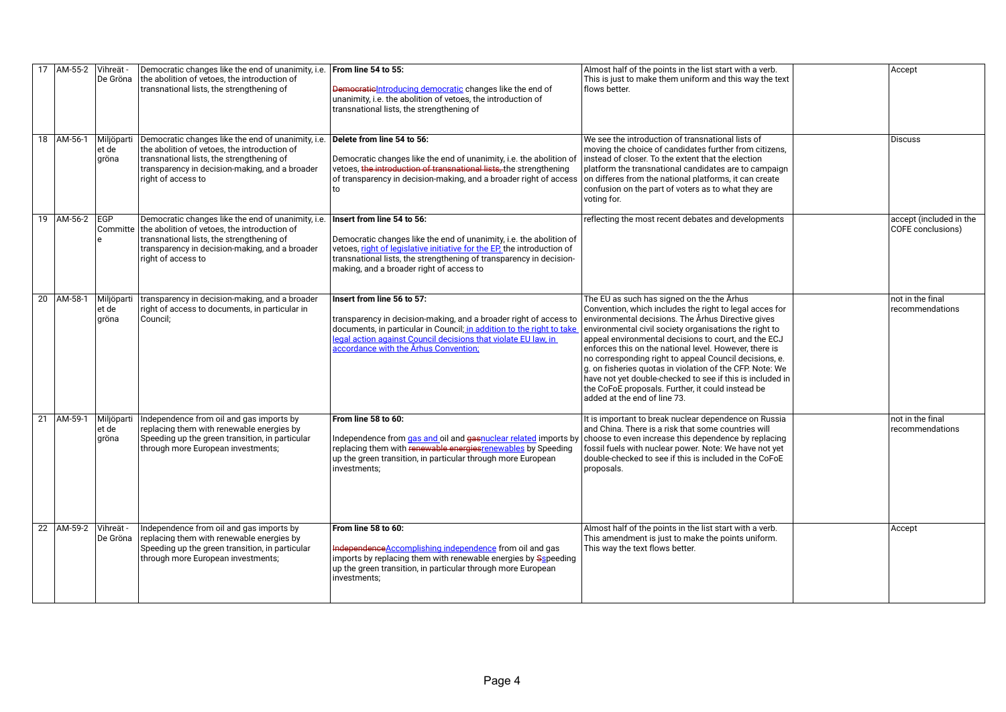| 17 | AM-55-2 Vihreät - | De Gröna                     | Democratic changes like the end of unanimity, i.e. From line 54 to 55:<br>the abolition of vetoes, the introduction of<br>transnational lists, the strengthening of                                                                                | Democratic Introducing democratic changes like the end of<br>unanimity, i.e. the abolition of vetoes, the introduction of<br>transnational lists, the strengthening of                                                                                                                          | Almost half of the points in the list start with a verb.<br>This is just to make them uniform and this way the text<br>flows better.                                                                                                                                                                                                                                                                                                                                                                                                                                                                            | Accept                                       |
|----|-------------------|------------------------------|----------------------------------------------------------------------------------------------------------------------------------------------------------------------------------------------------------------------------------------------------|-------------------------------------------------------------------------------------------------------------------------------------------------------------------------------------------------------------------------------------------------------------------------------------------------|-----------------------------------------------------------------------------------------------------------------------------------------------------------------------------------------------------------------------------------------------------------------------------------------------------------------------------------------------------------------------------------------------------------------------------------------------------------------------------------------------------------------------------------------------------------------------------------------------------------------|----------------------------------------------|
|    | 18 AM-56-1        | Miljöparti<br>et de<br>gröna | Democratic changes like the end of unanimity, i.e. Delete from line 54 to 56:<br>the abolition of vetoes, the introduction of<br>transnational lists, the strengthening of<br>transparency in decision-making, and a broader<br>right of access to | Democratic changes like the end of unanimity, i.e. the abolition of<br>vetoes, the introduction of transnational lists, the strengthening<br>of transparency in decision-making, and a broader right of access<br>to                                                                            | We see the introduction of transnational lists of<br>moving the choice of candidates further from citizens,<br>instead of closer. To the extent that the election<br>platform the transnational candidates are to campaign<br>on differes from the national platforms, it can create<br>confusion on the part of voters as to what they are<br>voting for.                                                                                                                                                                                                                                                      | <b>Discuss</b>                               |
|    | 19 AM-56-2 EGP    | Committe<br>$\mathbf{r}$     | Democratic changes like the end of unanimity, i.e.<br>the abolition of vetoes, the introduction of<br>transnational lists, the strengthening of<br>transparency in decision-making, and a broader<br>right of access to                            | Insert from line 54 to 56:<br>Democratic changes like the end of unanimity, i.e. the abolition of<br>vetoes, right of legislative initiative for the EP, the introduction of<br>transnational lists, the strengthening of transparency in decision-<br>making, and a broader right of access to | reflecting the most recent debates and developments                                                                                                                                                                                                                                                                                                                                                                                                                                                                                                                                                             | accept (included in the<br>COFE conclusions) |
| 20 | AM-58-1           | Miljöparti<br>et de<br>gröna | transparency in decision-making, and a broader<br>right of access to documents, in particular in<br>Council;                                                                                                                                       | Insert from line 56 to 57:<br>transparency in decision-making, and a broader right of access to<br>documents, in particular in Council; in addition to the right to take<br>legal action against Council decisions that violate EU law, in<br>accordance with the Århus Convention;             | The EU as such has signed on the the Århus<br>Convention, which includes the right to legal acces for<br>environmental decisions. The Århus Directive gives<br>environmental civil society organisations the right to<br>appeal environmental decisions to court, and the ECJ<br>enforces this on the national level. However, there is<br>no corresponding right to appeal Council decisions, e.<br>g. on fisheries quotas in violation of the CFP. Note: We<br>have not yet double-checked to see if this is included in<br>the CoFoE proposals. Further, it could instead be<br>added at the end of line 73. | not in the final<br>recommendations          |
| 21 | AM-59-1           | Miljöparti<br>et de<br>gröna | Independence from oil and gas imports by<br>replacing them with renewable energies by<br>Speeding up the green transition, in particular<br>through more European investments;                                                                     | From line 58 to 60:<br>Independence from gas and oil and gasnuclear related imports by choose to even increase this dependence by replacing<br>replacing them with renewable energies renewables by Speeding<br>up the green transition, in particular through more European<br>investments;    | It is important to break nuclear dependence on Russia<br>and China. There is a risk that some countries will<br>fossil fuels with nuclear power. Note: We have not yet<br>double-checked to see if this is included in the CoFoE<br>proposals.                                                                                                                                                                                                                                                                                                                                                                  | not in the final<br>recommendations          |
| 22 | AM-59-2           | Vihreät -<br>De Gröna        | Independence from oil and gas imports by<br>replacing them with renewable energies by<br>Speeding up the green transition, in particular<br>through more European investments;                                                                     | From line 58 to 60:<br>IndependenceAccomplishing independence from oil and gas<br>imports by replacing them with renewable energies by Sspeeding<br>up the green transition, in particular through more European<br>investments;                                                                | Almost half of the points in the list start with a verb.<br>This amendment is just to make the points uniform.<br>This way the text flows better.                                                                                                                                                                                                                                                                                                                                                                                                                                                               | Accept                                       |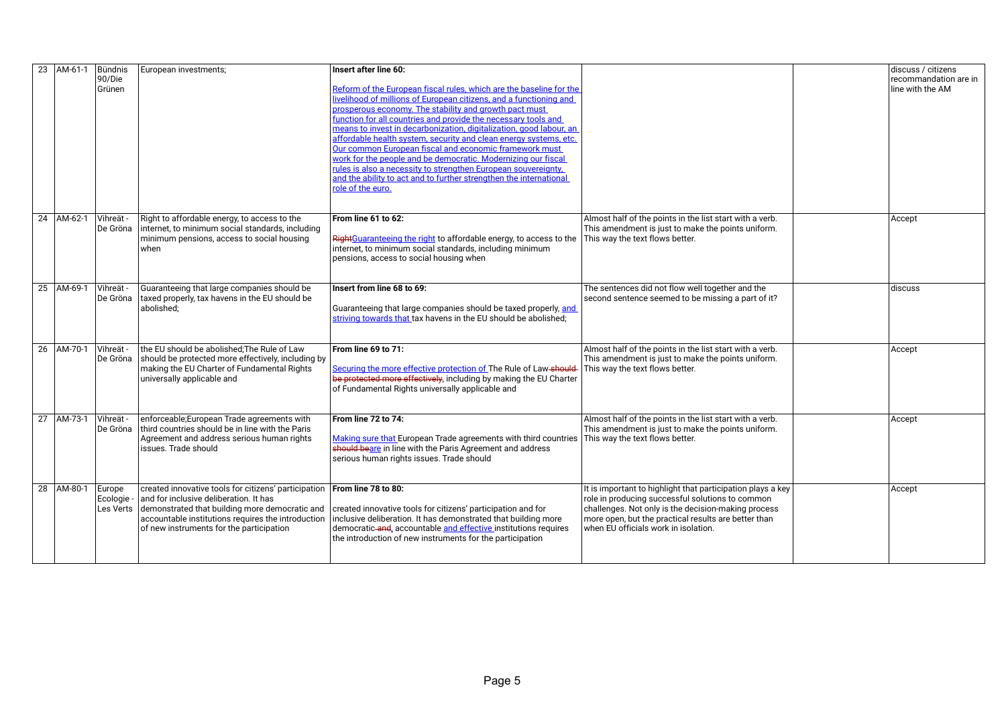| 23 | AM-61-1    | Bündnis<br>90/Die<br>Grünen       | European investments;                                                                                                                                                                                                                              | Insert after line 60:<br>Reform of the European fiscal rules, which are the baseline for the<br>livelihood of millions of European citizens, and a functioning and<br>prosperous economy. The stability and growth pact must<br>function for all countries and provide the necessary tools and<br>means to invest in decarbonization, digitalization, good labour, an<br>affordable health system, security and clean energy systems, etc.<br>Our common European fiscal and economic framework must<br>work for the people and be democratic. Modernizing our fiscal<br>rules is also a necessity to strengthen European souvereignty.<br>and the ability to act and to further strengthen the international<br>role of the euro. |                                                                                                                                                                                                                                                                        | discuss / citizens<br>recommandation are in<br>line with the AM |
|----|------------|-----------------------------------|----------------------------------------------------------------------------------------------------------------------------------------------------------------------------------------------------------------------------------------------------|------------------------------------------------------------------------------------------------------------------------------------------------------------------------------------------------------------------------------------------------------------------------------------------------------------------------------------------------------------------------------------------------------------------------------------------------------------------------------------------------------------------------------------------------------------------------------------------------------------------------------------------------------------------------------------------------------------------------------------|------------------------------------------------------------------------------------------------------------------------------------------------------------------------------------------------------------------------------------------------------------------------|-----------------------------------------------------------------|
|    | 24 AM-62-1 | Vihreät -<br>De Gröna             | Right to affordable energy, to access to the<br>internet, to minimum social standards, including<br>minimum pensions, access to social housing<br>when                                                                                             | From line 61 to 62:<br>RightGuaranteeing the right to affordable energy, to access to the<br>internet, to minimum social standards, including minimum<br>pensions, access to social housing when                                                                                                                                                                                                                                                                                                                                                                                                                                                                                                                                   | Almost half of the points in the list start with a verb.<br>This amendment is just to make the points uniform.<br>This way the text flows better.                                                                                                                      | Accept                                                          |
|    | 25 AM-69-1 | Vihreät -<br>De Gröna             | Guaranteeing that large companies should be<br>taxed properly, tax havens in the EU should be<br>abolished:                                                                                                                                        | Insert from line 68 to 69:<br>Guaranteeing that large companies should be taxed properly, and<br>striving towards that tax havens in the EU should be abolished;                                                                                                                                                                                                                                                                                                                                                                                                                                                                                                                                                                   | The sentences did not flow well together and the<br>second sentence seemed to be missing a part of it?                                                                                                                                                                 | discuss                                                         |
|    | 26 AM-70-1 | Vihreät -<br>De Gröna             | the EU should be abolished; The Rule of Law<br>should be protected more effectively, including by<br>making the EU Charter of Fundamental Rights<br>universally applicable and                                                                     | From line 69 to 71:<br>Securing the more effective protection of The Rule of Law-should-<br>be protected more effectively, including by making the EU Charter<br>of Fundamental Rights universally applicable and                                                                                                                                                                                                                                                                                                                                                                                                                                                                                                                  | Almost half of the points in the list start with a verb.<br>This amendment is just to make the points uniform.<br>This way the text flows better.                                                                                                                      | Accept                                                          |
|    | 27 AM-73-1 | Vihreät -<br>De Gröna             | enforceable; European Trade agreements with<br>third countries should be in line with the Paris<br>Agreement and address serious human rights<br>issues. Trade should                                                                              | From line 72 to 74:<br>Making sure that European Trade agreements with third countries<br>should beare in line with the Paris Agreement and address<br>serious human rights issues. Trade should                                                                                                                                                                                                                                                                                                                                                                                                                                                                                                                                   | Almost half of the points in the list start with a verb.<br>This amendment is just to make the points uniform.<br>This way the text flows better.                                                                                                                      | Accept                                                          |
|    | 28 AM-80-1 | Europe<br>Ecologie -<br>Les Verts | created innovative tools for citizens' participation<br>and for inclusive deliberation. It has<br>demonstrated that building more democratic and<br>accountable institutions requires the introduction<br>of new instruments for the participation | From line 78 to 80:<br>created innovative tools for citizens' participation and for<br>inclusive deliberation. It has demonstrated that building more<br>democratic and, accountable and effective institutions requires<br>the introduction of new instruments for the participation                                                                                                                                                                                                                                                                                                                                                                                                                                              | It is important to highlight that participation plays a key<br>role in producing successful solutions to common<br>challenges. Not only is the decision-making process<br>more open, but the practical results are better than<br>when EU officials work in isolation. | Accept                                                          |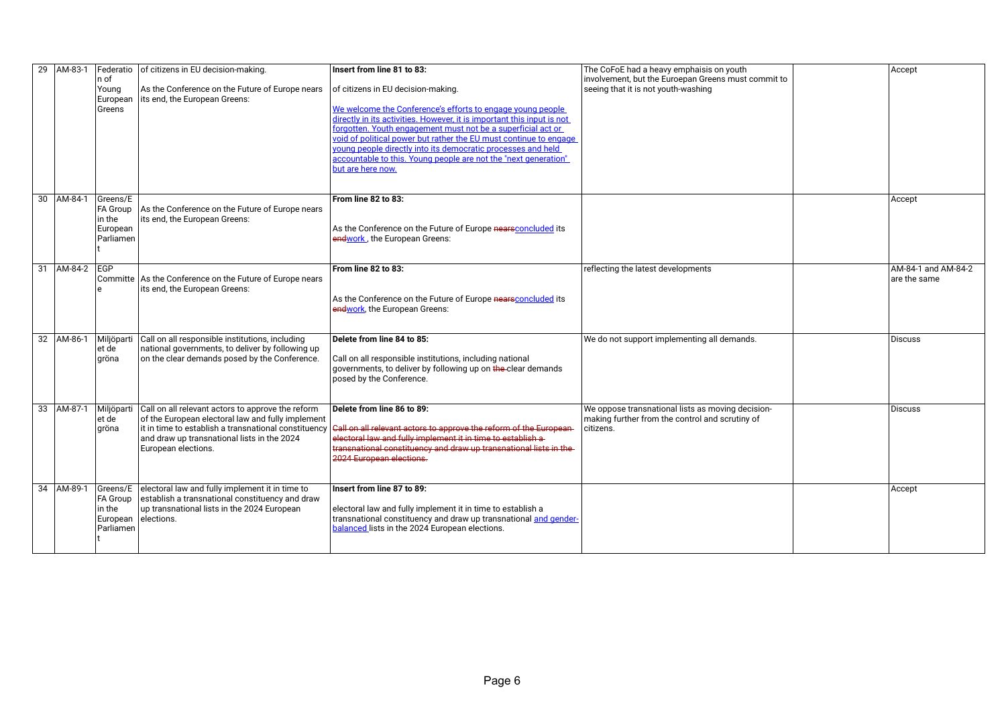| 29 AM-83-1 | $ n$ of<br>Young<br>European<br>Greens                         | Federatio   of citizens in EU decision-making.<br>As the Conference on the Future of Europe nears<br>lits end, the European Greens:                                                                                                               | Insert from line 81 to 83:<br>of citizens in EU decision-making.<br>We welcome the Conference's efforts to engage young people<br>directly in its activities. However, it is important this input is not<br>forgotten. Youth engagement must not be a superficial act or<br>void of political power but rather the EU must continue to engage<br>young people directly into its democratic processes and held<br>accountable to this. Young people are not the "next generation"<br>but are here now. | The CoFoE had a heavy emphaisis on youth<br>involvement, but the Euroepan Greens must commit to<br>seeing that it is not youth-washing | Accept                              |  |
|------------|----------------------------------------------------------------|---------------------------------------------------------------------------------------------------------------------------------------------------------------------------------------------------------------------------------------------------|-------------------------------------------------------------------------------------------------------------------------------------------------------------------------------------------------------------------------------------------------------------------------------------------------------------------------------------------------------------------------------------------------------------------------------------------------------------------------------------------------------|----------------------------------------------------------------------------------------------------------------------------------------|-------------------------------------|--|
| 30 AM-84-1 | Greens/E<br><b>FA Group</b><br>in the<br>European<br>Parliamen | As the Conference on the Future of Europe nears<br>its end, the European Greens:                                                                                                                                                                  | From line 82 to 83:<br>As the Conference on the Future of Europe nearsconcluded its<br>endwork, the European Greens:                                                                                                                                                                                                                                                                                                                                                                                  |                                                                                                                                        | Accept                              |  |
| 31 AM-84-2 | <b>EGP</b>                                                     | Committe As the Conference on the Future of Europe nears<br>lits end, the European Greens:                                                                                                                                                        | From line 82 to 83:<br>As the Conference on the Future of Europe nearsconcluded its<br>endwork, the European Greens:                                                                                                                                                                                                                                                                                                                                                                                  | reflecting the latest developments                                                                                                     | AM-84-1 and AM-84-2<br>are the same |  |
| 32 AM-86-1 | Miljöparti<br>et de<br>gröna                                   | Call on all responsible institutions, including<br>national governments, to deliver by following up<br>on the clear demands posed by the Conference.                                                                                              | Delete from line 84 to 85:<br>Call on all responsible institutions, including national<br>governments, to deliver by following up on the clear demands<br>posed by the Conference.                                                                                                                                                                                                                                                                                                                    | We do not support implementing all demands.                                                                                            | Discuss                             |  |
| 33 AM-87-1 | et de<br>gröna                                                 | Miljöparti   Call on all relevant actors to approve the reform<br>of the European electoral law and fully implement<br>it in time to establish a transnational constituency<br>and draw up transnational lists in the 2024<br>European elections. | Delete from line 86 to 89:<br>Call on all relevant actors to approve the reform of the European-<br>electoral law and fully implement it in time to establish a<br>transnational constituency and draw up transnational lists in the-<br>2024 European elections.                                                                                                                                                                                                                                     | We oppose transnational lists as moving decision-<br>making further from the control and scrutiny of<br>citizens.                      | <b>Discuss</b>                      |  |
| 34 AM-89-1 | Greens/E<br>FA Group<br>in the<br>European<br>Parliamen        | electoral law and fully implement it in time to<br>establish a transnational constituency and draw<br>up transnational lists in the 2024 European<br>elections.                                                                                   | Insert from line 87 to 89:<br>electoral law and fully implement it in time to establish a<br>transnational constituency and draw up transnational and gender-<br>balanced lists in the 2024 European elections.                                                                                                                                                                                                                                                                                       |                                                                                                                                        | Accept                              |  |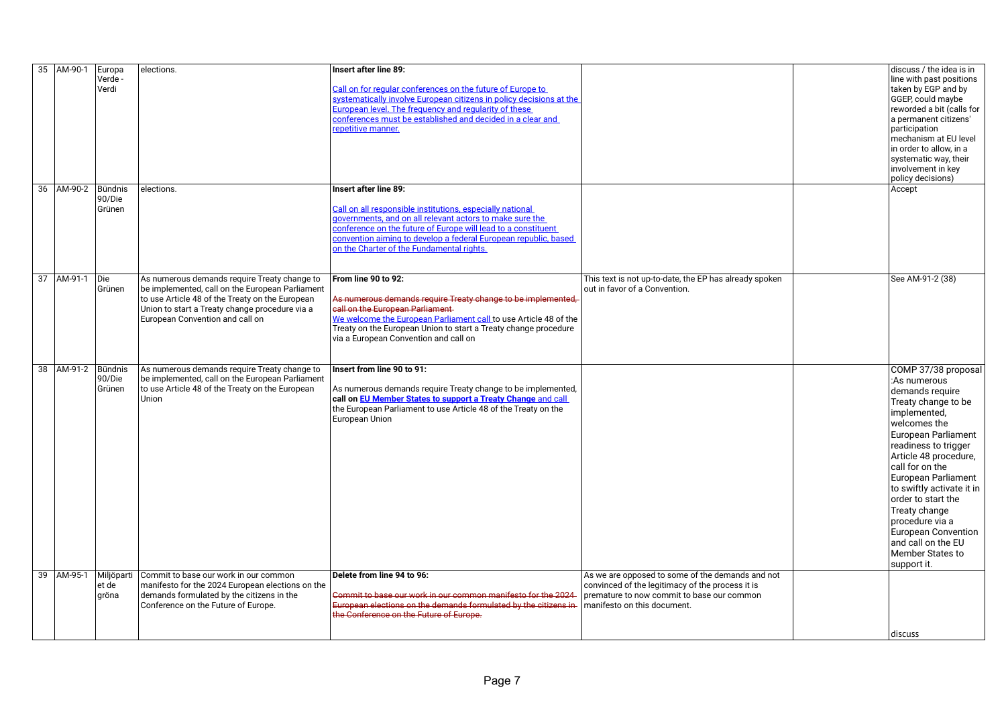| 35 AM-90-1             | Europa     | elections.                                                                                        | <b>Insert after line 89:</b>                                                                     |                                                        | discuss / the idea is in  |
|------------------------|------------|---------------------------------------------------------------------------------------------------|--------------------------------------------------------------------------------------------------|--------------------------------------------------------|---------------------------|
|                        | Verde -    |                                                                                                   |                                                                                                  |                                                        | line with past positions  |
|                        | Verdi      |                                                                                                   | Call on for regular conferences on the future of Europe to                                       |                                                        | taken by EGP and by       |
|                        |            |                                                                                                   | systematically involve European citizens in policy decisions at the                              |                                                        | GGEP, could maybe         |
|                        |            |                                                                                                   | European level. The frequency and regularity of these                                            |                                                        | reworded a bit (calls for |
|                        |            |                                                                                                   | conferences must be established and decided in a clear and                                       |                                                        | a permanent citizens'     |
|                        |            |                                                                                                   | repetitive manner.                                                                               |                                                        | participation             |
|                        |            |                                                                                                   |                                                                                                  |                                                        | mechanism at EU level     |
|                        |            |                                                                                                   |                                                                                                  |                                                        | in order to allow, in a   |
|                        |            |                                                                                                   |                                                                                                  |                                                        | systematic way, their     |
|                        |            |                                                                                                   |                                                                                                  |                                                        | involvement in key        |
|                        |            |                                                                                                   |                                                                                                  |                                                        | policy decisions)         |
| 36 AM-90-2             | Bündnis    | elections.                                                                                        | Insert after line 89:                                                                            |                                                        | Accept                    |
|                        | 90/Die     |                                                                                                   |                                                                                                  |                                                        |                           |
|                        | Grünen     |                                                                                                   | Call on all responsible institutions, especially national                                        |                                                        |                           |
|                        |            |                                                                                                   | governments, and on all relevant actors to make sure the                                         |                                                        |                           |
|                        |            |                                                                                                   | conference on the future of Europe will lead to a constituent                                    |                                                        |                           |
|                        |            |                                                                                                   | convention aiming to develop a federal European republic, based                                  |                                                        |                           |
|                        |            |                                                                                                   | on the Charter of the Fundamental rights.                                                        |                                                        |                           |
|                        |            |                                                                                                   |                                                                                                  |                                                        |                           |
|                        |            |                                                                                                   |                                                                                                  |                                                        |                           |
| 37   AM-91-1   Die     |            | As numerous demands require Treaty change to                                                      | From line 90 to 92:                                                                              | This text is not up-to-date, the EP has already spoken | See AM-91-2 (38)          |
|                        | Grünen     | be implemented, call on the European Parliament                                                   |                                                                                                  | out in favor of a Convention.                          |                           |
|                        |            | to use Article 48 of the Treaty on the European<br>Union to start a Treaty change procedure via a | As numerous demands require Treaty change to be implemented,<br>call on the European Parliament- |                                                        |                           |
|                        |            | European Convention and call on                                                                   | We welcome the European Parliament call to use Article 48 of the                                 |                                                        |                           |
|                        |            |                                                                                                   | Treaty on the European Union to start a Treaty change procedure                                  |                                                        |                           |
|                        |            |                                                                                                   | via a European Convention and call on                                                            |                                                        |                           |
|                        |            |                                                                                                   |                                                                                                  |                                                        |                           |
|                        |            |                                                                                                   |                                                                                                  |                                                        |                           |
| 38   AM-91-2   Bündnis |            | As numerous demands require Treaty change to                                                      | Insert from line 90 to 91:                                                                       |                                                        | COMP 37/38 proposal       |
|                        | 90/Die     | be implemented, call on the European Parliament                                                   |                                                                                                  |                                                        | :As numerous              |
|                        | Grünen     | to use Article 48 of the Treaty on the European                                                   | As numerous demands require Treaty change to be implemented,                                     |                                                        | demands require           |
|                        |            | Union                                                                                             | call on EU Member States to support a Treaty Change and call                                     |                                                        | Treaty change to be       |
|                        |            |                                                                                                   | the European Parliament to use Article 48 of the Treaty on the                                   |                                                        | implemented,              |
|                        |            |                                                                                                   | European Union                                                                                   |                                                        | welcomes the              |
|                        |            |                                                                                                   |                                                                                                  |                                                        | European Parliament       |
|                        |            |                                                                                                   |                                                                                                  |                                                        |                           |
|                        |            |                                                                                                   |                                                                                                  |                                                        | readiness to trigger      |
|                        |            |                                                                                                   |                                                                                                  |                                                        | Article 48 procedure,     |
|                        |            |                                                                                                   |                                                                                                  |                                                        | call for on the           |
|                        |            |                                                                                                   |                                                                                                  |                                                        | European Parliament       |
|                        |            |                                                                                                   |                                                                                                  |                                                        | to swiftly activate it in |
|                        |            |                                                                                                   |                                                                                                  |                                                        | order to start the        |
|                        |            |                                                                                                   |                                                                                                  |                                                        | Treaty change             |
|                        |            |                                                                                                   |                                                                                                  |                                                        | procedure via a           |
|                        |            |                                                                                                   |                                                                                                  |                                                        | European Convention       |
|                        |            |                                                                                                   |                                                                                                  |                                                        | and call on the EU        |
|                        |            |                                                                                                   |                                                                                                  |                                                        | Member States to          |
|                        |            |                                                                                                   |                                                                                                  |                                                        | support it.               |
| 39 AM-95-1             | Miljöparti | Commit to base our work in our common                                                             | Delete from line 94 to 96:                                                                       | As we are opposed to some of the demands and not       |                           |
|                        | et de      | manifesto for the 2024 European elections on the                                                  |                                                                                                  | convinced of the legitimacy of the process it is       |                           |
|                        | gröna      | demands formulated by the citizens in the                                                         | Commit to base our work in our common manifesto for the 2024                                     | premature to now commit to base our common             |                           |
|                        |            | Conference on the Future of Europe.                                                               | European elections on the demands formulated by the citizens in-                                 | manifesto on this document.                            |                           |
|                        |            |                                                                                                   | the Conference on the Future of Europe.                                                          |                                                        |                           |
|                        |            |                                                                                                   |                                                                                                  |                                                        | discuss                   |
|                        |            |                                                                                                   |                                                                                                  |                                                        |                           |